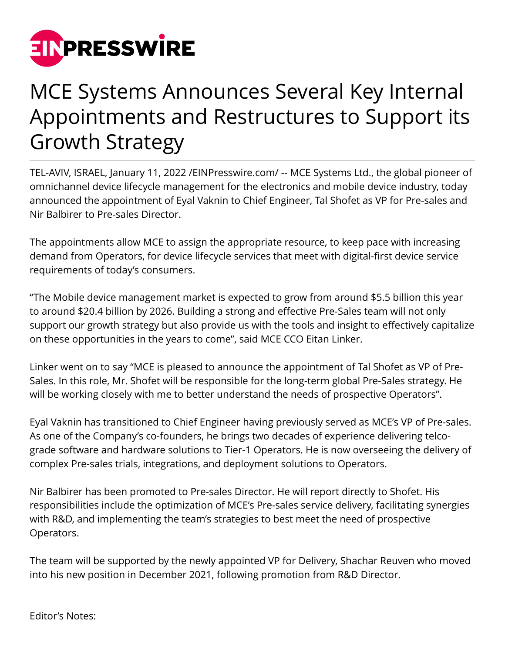

## MCE Systems Announces Several Key Internal Appointments and Restructures to Support its Growth Strategy

TEL-AVIV, ISRAEL, January 11, 2022 [/EINPresswire.com/](http://www.einpresswire.com) -- MCE Systems Ltd., the global pioneer of omnichannel device lifecycle management for the electronics and mobile device industry, today announced the appointment of Eyal Vaknin to Chief Engineer, Tal Shofet as VP for Pre-sales and Nir Balbirer to Pre-sales Director.

The appointments allow MCE to assign the appropriate resource, to keep pace with increasing demand from Operators, for device lifecycle services that meet with digital-first device service requirements of today's consumers.

"The Mobile device management market is expected to grow from around \$5.5 billion this year to around \$20.4 billion by 2026. Building a strong and effective Pre-Sales team will not only support our growth strategy but also provide us with the tools and insight to effectively capitalize on these opportunities in the years to come", said MCE CCO Eitan Linker.

Linker went on to say "MCE is pleased to announce the appointment of Tal Shofet as VP of Pre-Sales. In this role, Mr. Shofet will be responsible for the long-term global Pre-Sales strategy. He will be working closely with me to better understand the needs of prospective Operators".

Eyal Vaknin has transitioned to Chief Engineer having previously served as MCE's VP of Pre-sales. As one of the Company's co-founders, he brings two decades of experience delivering telcograde software and hardware solutions to Tier-1 Operators. He is now overseeing the delivery of complex Pre-sales trials, integrations, and deployment solutions to Operators.

Nir Balbirer has been promoted to Pre-sales Director. He will report directly to Shofet. His responsibilities include the optimization of MCE's Pre-sales service delivery, facilitating synergies with R&D, and implementing the team's strategies to best meet the need of prospective Operators.

The team will be supported by the newly appointed VP for Delivery, Shachar Reuven who moved into his new position in December 2021, following promotion from R&D Director.

Editor's Notes: